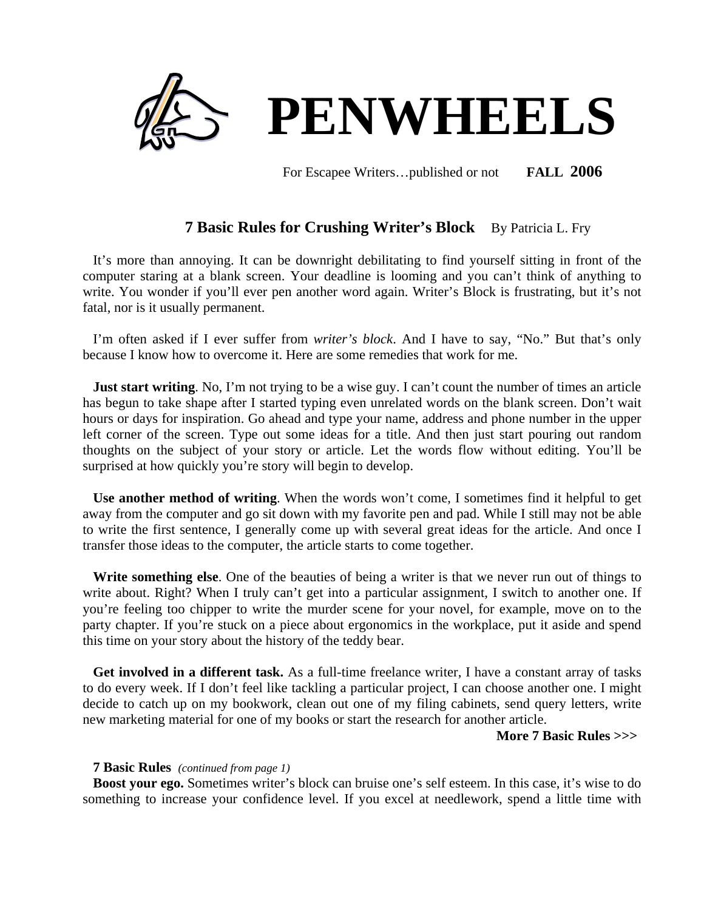

For Escapee Writers…published or not **FALL 2006**

# **7 Basic Rules for Crushing Writer's Block** By Patricia L. Fry

It's more than annoying. It can be downright debilitating to find yourself sitting in front of the computer staring at a blank screen. Your deadline is looming and you can't think of anything to write. You wonder if you'll ever pen another word again. Writer's Block is frustrating, but it's not fatal, nor is it usually permanent.

I'm often asked if I ever suffer from *writer's block*. And I have to say, "No." But that's only because I know how to overcome it. Here are some remedies that work for me.

**Just start writing**. No, I'm not trying to be a wise guy. I can't count the number of times an article has begun to take shape after I started typing even unrelated words on the blank screen. Don't wait hours or days for inspiration. Go ahead and type your name, address and phone number in the upper left corner of the screen. Type out some ideas for a title. And then just start pouring out random thoughts on the subject of your story or article. Let the words flow without editing. You'll be surprised at how quickly you're story will begin to develop.

**Use another method of writing**. When the words won't come, I sometimes find it helpful to get away from the computer and go sit down with my favorite pen and pad. While I still may not be able to write the first sentence, I generally come up with several great ideas for the article. And once I transfer those ideas to the computer, the article starts to come together.

 **Write something else**. One of the beauties of being a writer is that we never run out of things to write about. Right? When I truly can't get into a particular assignment, I switch to another one. If you're feeling too chipper to write the murder scene for your novel, for example, move on to the party chapter. If you're stuck on a piece about ergonomics in the workplace, put it aside and spend this time on your story about the history of the teddy bear.

 **Get involved in a different task.** As a full-time freelance writer, I have a constant array of tasks to do every week. If I don't feel like tackling a particular project, I can choose another one. I might decide to catch up on my bookwork, clean out one of my filing cabinets, send query letters, write new marketing material for one of my books or start the research for another article.

#### **More 7 Basic Rules >>>**

# **7 Basic Rules** *(continued from page 1)*

 **Boost your ego.** Sometimes writer's block can bruise one's self esteem. In this case, it's wise to do something to increase your confidence level. If you excel at needlework, spend a little time with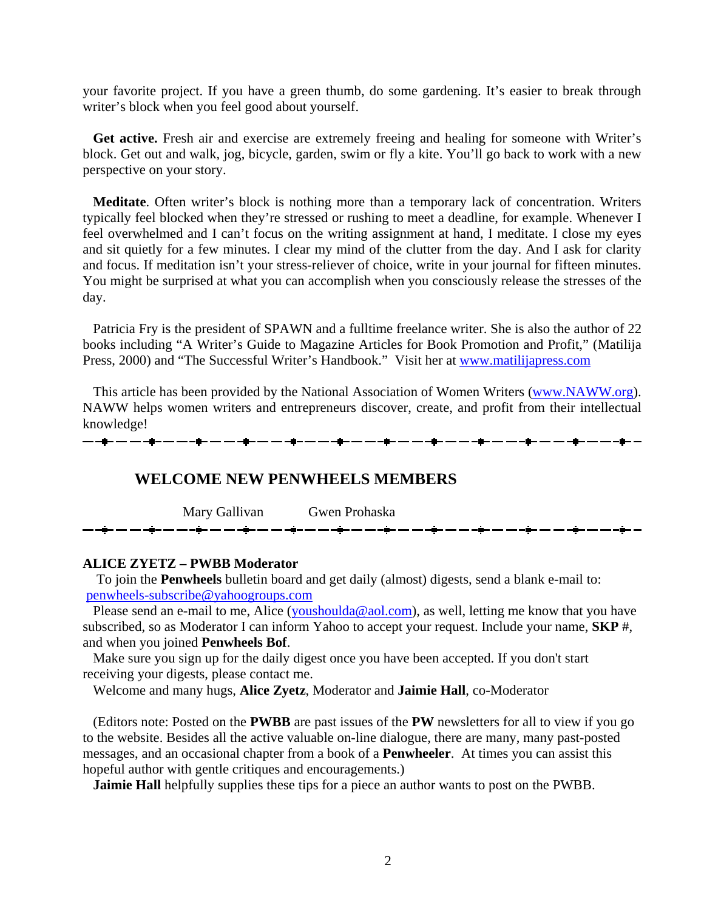your favorite project. If you have a green thumb, do some gardening. It's easier to break through writer's block when you feel good about yourself.

Get active. Fresh air and exercise are extremely freeing and healing for someone with Writer's block. Get out and walk, jog, bicycle, garden, swim or fly a kite. You'll go back to work with a new perspective on your story.

 **Meditate**. Often writer's block is nothing more than a temporary lack of concentration. Writers typically feel blocked when they're stressed or rushing to meet a deadline, for example. Whenever I feel overwhelmed and I can't focus on the writing assignment at hand, I meditate. I close my eyes and sit quietly for a few minutes. I clear my mind of the clutter from the day. And I ask for clarity and focus. If meditation isn't your stress-reliever of choice, write in your journal for fifteen minutes. You might be surprised at what you can accomplish when you consciously release the stresses of the day.

Patricia Fry is the president of SPAWN and a fulltime freelance writer. She is also the author of 22 books including "A Writer's Guide to Magazine Articles for Book Promotion and Profit," (Matilija Press, 2000) and "The Successful Writer's Handbook." Visit her at [www.matilijapress.com](http://www.matilijapress.com/)

 This article has been provided by the National Association of Women Writers [\(www.NAWW.org\)](http://www.naww.org/). NAWW helps women writers and entrepreneurs discover, create, and profit from their intellectual knowledge!

# **WELCOME NEW PENWHEELS MEMBERS**

Mary Gallivan Gwen Prohaska

# **ALICE ZYETZ – PWBB Moderator**

To join the **Penwheels** bulletin board and get daily (almost) digests, send a blank e-mail to: [penwheels-subscribe@yahoogroups.com](mailto:penwheels-subscribe@yahoogroups.com)

Please send an e-mail to me, Alice ([youshoulda@aol.com\)](mailto:youshoulda@aol.com), as well, letting me know that you have subscribed, so as Moderator I can inform Yahoo to accept your request. Include your name, **SKP** #, and when you joined **Penwheels Bof**.

 Make sure you sign up for the daily digest once you have been accepted. If you don't start receiving your digests, please contact me.

Welcome and many hugs, **Alice Zyetz**, Moderator and **Jaimie Hall**, co-Moderator

 (Editors note: Posted on the **PWBB** are past issues of the **PW** newsletters for all to view if you go to the website. Besides all the active valuable on-line dialogue, there are many, many past-posted messages, and an occasional chapter from a book of a **Penwheeler**. At times you can assist this hopeful author with gentle critiques and encouragements.)

**Jaimie Hall** helpfully supplies these tips for a piece an author wants to post on the PWBB.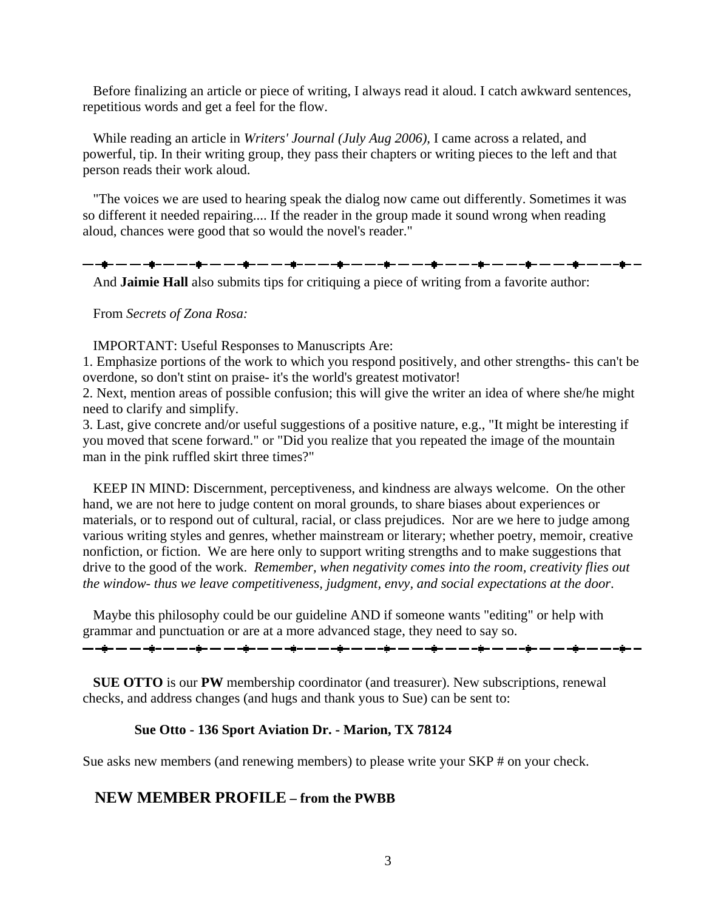Before finalizing an article or piece of writing, I always read it aloud. I catch awkward sentences, repetitious words and get a feel for the flow.

 While reading an article in *Writers' Journal (July Aug 2006),* I came across a related, and powerful, tip. In their writing group, they pass their chapters or writing pieces to the left and that person reads their work aloud.

 "The voices we are used to hearing speak the dialog now came out differently. Sometimes it was so different it needed repairing.... If the reader in the group made it sound wrong when reading aloud, chances were good that so would the novel's reader."

▃▖▃**▆▃▗▃▗▃▖▃▖▃▖▃▅▃▗▄▗▄▖▃▖▃▖▄▖▃▗**▅▖▃▖▃▖▄▅▃▗▅▖▃▖▃▖▄▖▃▗▅▖▃▖▃▖▄▅▖▃▖▃▖▄▅▖▃▖▃▖▄▅▖▃▗▄▖▃

And **Jaimie Hall** also submits tips for critiquing a piece of writing from a favorite author:

From *Secrets of Zona Rosa:*

IMPORTANT: Useful Responses to Manuscripts Are:

1. Emphasize portions of the work to which you respond positively, and other strengths- this can't be overdone, so don't stint on praise- it's the world's greatest motivator!

2. Next, mention areas of possible confusion; this will give the writer an idea of where she/he might need to clarify and simplify.

3. Last, give concrete and/or useful suggestions of a positive nature, e.g., "It might be interesting if you moved that scene forward." or "Did you realize that you repeated the image of the mountain man in the pink ruffled skirt three times?"

 KEEP IN MIND: Discernment, perceptiveness, and kindness are always welcome. On the other hand, we are not here to judge content on moral grounds, to share biases about experiences or materials, or to respond out of cultural, racial, or class prejudices. Nor are we here to judge among various writing styles and genres, whether mainstream or literary; whether poetry, memoir, creative nonfiction, or fiction. We are here only to support writing strengths and to make suggestions that drive to the good of the work. *Remember, when negativity comes into the room, creativity flies out the window- thus we leave competitiveness, judgment, envy, and social expectations at the door*.

 Maybe this philosophy could be our guideline AND if someone wants "editing" or help with grammar and punctuation or are at a more advanced stage, they need to say so.

<del>▁</del>▁▗<mark>▅</mark>▃▃▁▃▗<mark>▅</mark>▃▃▁▃▗<u>▅</u>▃▃▁▃▗▅▁▃▁▃<sub></sub>▄▁▃▁▃▗▅▁▃▁▃<sub></sub>▄▁▃▁▃▗▅▁▃▁▃<sub></sub>▄▁▃▁▃▗▅▁▃▁▃▗▅▁▃▁▃<sub></sub>▄▁▃▁<sub></sub>▄▁▃

 **SUE OTTO** is our **PW** membership coordinator (and treasurer). New subscriptions, renewal checks, and address changes (and hugs and thank yous to Sue) can be sent to:

## **Sue Otto - 136 Sport Aviation Dr. - Marion, TX 78124**

Sue asks new members (and renewing members) to please write your SKP # on your check.

# **NEW MEMBER PROFILE – from the PWBB**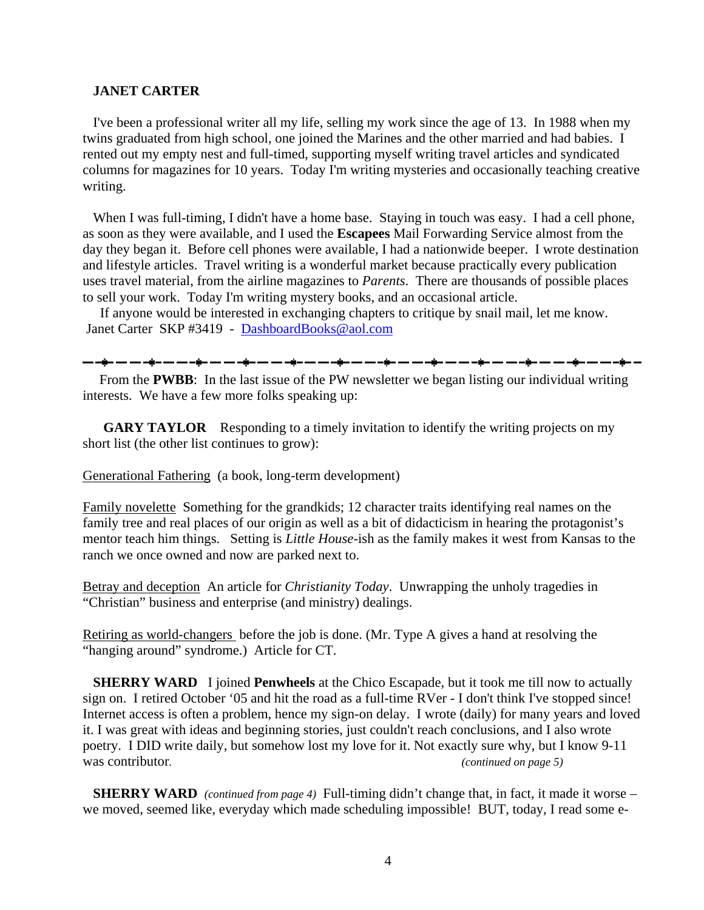## **JANET CARTER**

 I've been a professional writer all my life, selling my work since the age of 13. In 1988 when my twins graduated from high school, one joined the Marines and the other married and had babies. I rented out my empty nest and full-timed, supporting myself writing travel articles and syndicated columns for magazines for 10 years. Today I'm writing mysteries and occasionally teaching creative writing.

When I was full-timing, I didn't have a home base. Staying in touch was easy. I had a cell phone, as soon as they were available, and I used the **Escapees** Mail Forwarding Service almost from the day they began it. Before cell phones were available, I had a nationwide beeper. I wrote destination and lifestyle articles. Travel writing is a wonderful market because practically every publication uses travel material, from the airline magazines to *Parents*. There are thousands of possible places to sell your work. Today I'm writing mystery books, and an occasional article.

If anyone would be interested in exchanging chapters to critique by snail mail, let me know. Janet Carter SKP #3419 - [DashboardBooks@aol.com](mailto:DashboardBooks@aol.com)

 From the **PWBB**: In the last issue of the PW newsletter we began listing our individual writing interests. We have a few more folks speaking up:

**GARY TAYLOR** Responding to a timely invitation to identify the writing projects on my short list (the other list continues to grow):

Generational Fathering (a book, long-term development)

Family novelette Something for the grandkids; 12 character traits identifying real names on the family tree and real places of our origin as well as a bit of didacticism in hearing the protagonist's mentor teach him things. Setting is *Little House*-ish as the family makes it west from Kansas to the ranch we once owned and now are parked next to.

Betray and deception An article for *Christianity Today*. Unwrapping the unholy tragedies in "Christian" business and enterprise (and ministry) dealings.

Retiring as world-changers before the job is done. (Mr. Type A gives a hand at resolving the "hanging around" syndrome.) Article for CT.

**SHERRY WARD** I joined **Penwheels** at the Chico Escapade, but it took me till now to actually sign on. I retired October '05 and hit the road as a full-time RVer - I don't think I've stopped since! Internet access is often a problem, hence my sign-on delay. I wrote (daily) for many years and loved it. I was great with ideas and beginning stories, just couldn't reach conclusions, and I also wrote poetry. I DID write daily, but somehow lost my love for it. Not exactly sure why, but I know 9-11 was contributor. (*continued on page 5*)

 **SHERRY WARD** *(continued from page 4)* Full-timing didn't change that, in fact, it made it worse – we moved, seemed like, everyday which made scheduling impossible! BUT, today, I read some e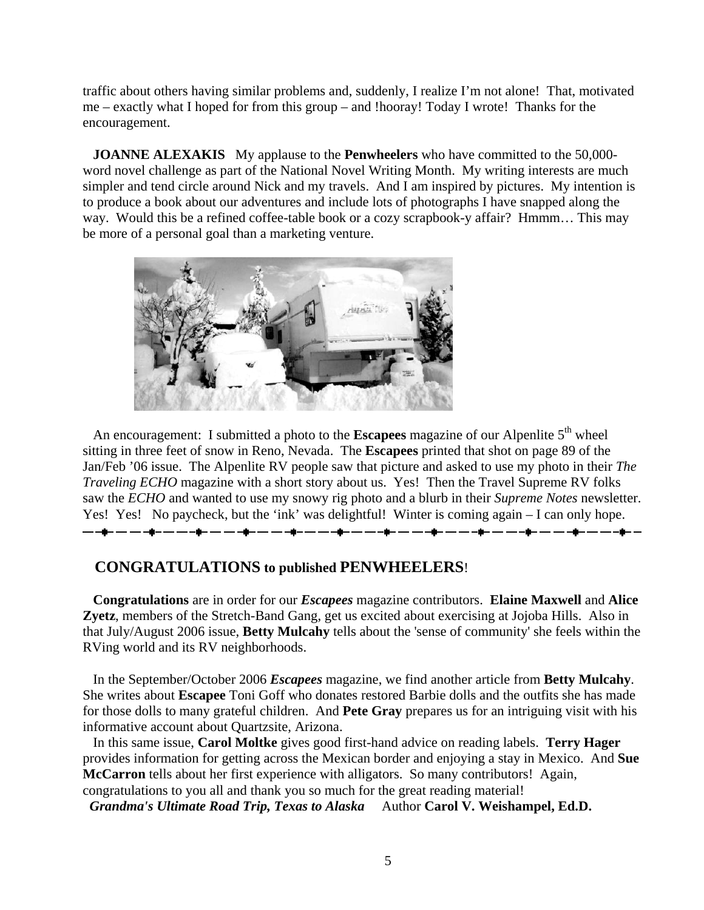traffic about others having similar problems and, suddenly, I realize I'm not alone! That, motivated me – exactly what I hoped for from this group – and !hooray! Today I wrote! Thanks for the encouragement.

 **JOANNE ALEXAKIS** My applause to the **Penwheelers** who have committed to the 50,000 word novel challenge as part of the National Novel Writing Month. My writing interests are much simpler and tend circle around Nick and my travels. And I am inspired by pictures. My intention is to produce a book about our adventures and include lots of photographs I have snapped along the way. Would this be a refined coffee-table book or a cozy scrapbook-y affair? Hmmm… This may be more of a personal goal than a marketing venture.



An encouragement: I submitted a photo to the **Escapees** magazine of our Alpenlite 5<sup>th</sup> wheel sitting in three feet of snow in Reno, Nevada. The **Escapees** printed that shot on page 89 of the Jan/Feb '06 issue. The Alpenlite RV people saw that picture and asked to use my photo in their *The Traveling ECHO* magazine with a short story about us. Yes! Then the Travel Supreme RV folks saw the *ECHO* and wanted to use my snowy rig photo and a blurb in their *Supreme Notes* newsletter. Yes! Yes! No paycheck, but the 'ink' was delightful! Winter is coming again – I can only hope. 

# **CONGRATULATIONS to published PENWHEELERS**!

 **Congratulations** are in order for our *Escapees* magazine contributors. **Elaine Maxwell** and **Alice Zyetz**, members of the Stretch-Band Gang, get us excited about exercising at Jojoba Hills. Also in that July/August 2006 issue, **Betty Mulcahy** tells about the 'sense of community' she feels within the RVing world and its RV neighborhoods.

 In the September/October 2006 *Escapees* magazine, we find another article from **Betty Mulcahy**. She writes about **Escapee** Toni Goff who donates restored Barbie dolls and the outfits she has made for those dolls to many grateful children. And **Pete Gray** prepares us for an intriguing visit with his informative account about Quartzsite, Arizona.

 In this same issue, **Carol Moltke** gives good first-hand advice on reading labels. **Terry Hager** provides information for getting across the Mexican border and enjoying a stay in Mexico. And **Sue McCarron** tells about her first experience with alligators. So many contributors! Again, congratulations to you all and thank you so much for the great reading material!

 *Grandma's Ultimate Road Trip, Texas to Alaska* Author **Carol V. Weishampel, Ed.D.**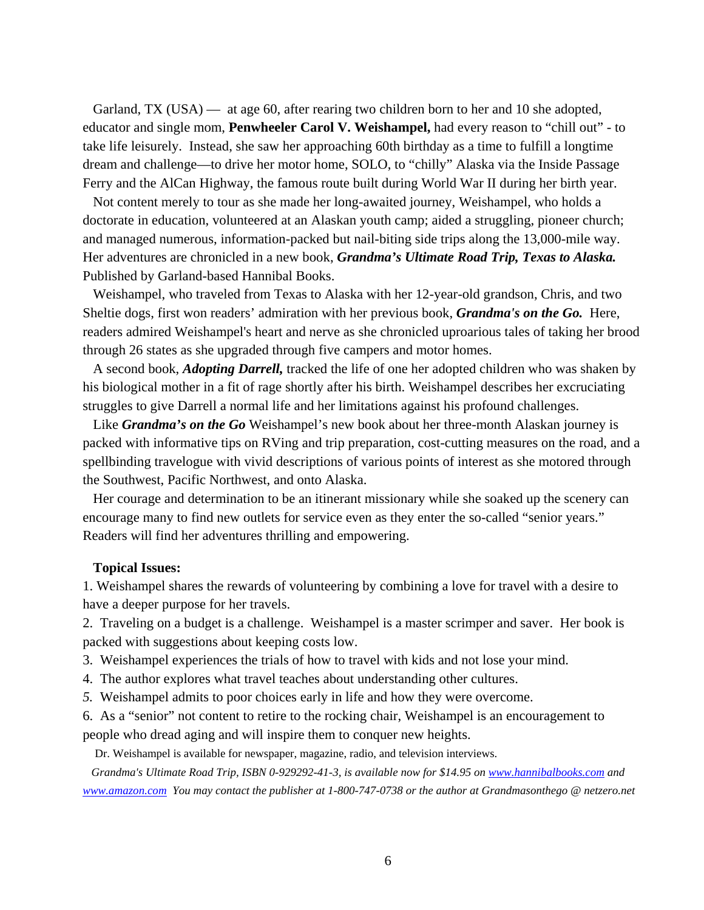Garland, TX (USA) — at age 60, after rearing two children born to her and 10 she adopted, educator and single mom, **Penwheeler Carol V. Weishampel,** had every reason to "chill out" - to take life leisurely. Instead, she saw her approaching 60th birthday as a time to fulfill a longtime dream and challenge—to drive her motor home, SOLO, to "chilly" Alaska via the Inside Passage Ferry and the AlCan Highway, the famous route built during World War II during her birth year.

 Not content merely to tour as she made her long-awaited journey, Weishampel, who holds a doctorate in education, volunteered at an Alaskan youth camp; aided a struggling, pioneer church; and managed numerous, information-packed but nail-biting side trips along the 13,000-mile way. Her adventures are chronicled in a new book, *Grandma's Ultimate Road Trip, Texas to Alaska.*  Published by Garland-based Hannibal Books.

 Weishampel, who traveled from Texas to Alaska with her 12-year-old grandson, Chris, and two Sheltie dogs, first won readers' admiration with her previous book, *Grandma's on the Go.* Here, readers admired Weishampel's heart and nerve as she chronicled uproarious tales of taking her brood through 26 states as she upgraded through five campers and motor homes.

 A second book, *Adopting Darrell,* tracked the life of one her adopted children who was shaken by his biological mother in a fit of rage shortly after his birth. Weishampel describes her excruciating struggles to give Darrell a normal life and her limitations against his profound challenges.

Like *Grandma's on the Go* Weishampel's new book about her three-month Alaskan journey is packed with informative tips on RVing and trip preparation, cost-cutting measures on the road, and a spellbinding travelogue with vivid descriptions of various points of interest as she motored through the Southwest, Pacific Northwest, and onto Alaska.

 Her courage and determination to be an itinerant missionary while she soaked up the scenery can encourage many to find new outlets for service even as they enter the so-called "senior years." Readers will find her adventures thrilling and empowering.

# **Topical Issues:**

1. Weishampel shares the rewards of volunteering by combining a love for travel with a desire to have a deeper purpose for her travels.

2. Traveling on a budget is a challenge. Weishampel is a master scrimper and saver. Her book is packed with suggestions about keeping costs low.

3. Weishampel experiences the trials of how to travel with kids and not lose your mind.

4. The author explores what travel teaches about understanding other cultures.

*5.* Weishampel admits to poor choices early in life and how they were overcome.

6. As a "senior" not content to retire to the rocking chair, Weishampel is an encouragement to people who dread aging and will inspire them to conquer new heights.

Dr. Weishampel is available for newspaper, magazine, radio, and television interviews.

*Grandma's Ultimate Road Trip, ISBN 0-929292-41-3, is available now for \$14.95 on [www.hannibalbooks.com](http://www.hannibalbooks.com/) and [www.amazon.com](http://www.amazon.com/) You may contact the publisher at 1-800-747-0738 or the author at Grandmasonthego @ netzero.net*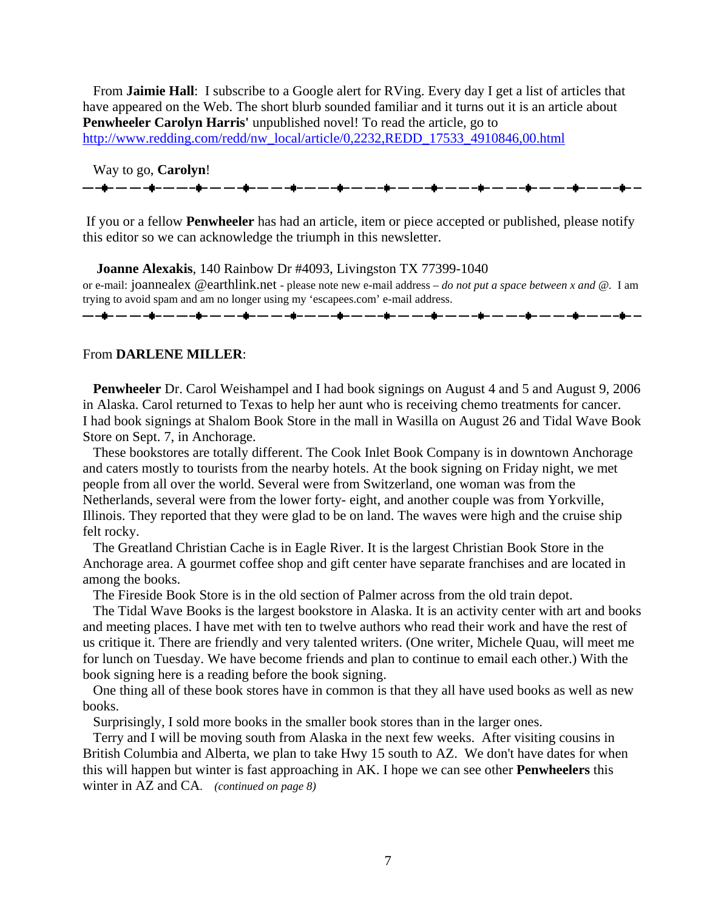From **Jaimie Hall**: I subscribe to a Google alert for RVing. Every day I get a list of articles that have appeared on the Web. The short blurb sounded familiar and it turns out it is an article about **Penwheeler Carolyn Harris'** unpublished novel! To read the article, go to [http://www.redding.com/redd/nw\\_local/article/0,2232,REDD\\_17533\\_4910846,00.html](http://www.redding.com/redd/nw_local/article/0,2232,REDD_17533_4910846,00.html)

Way to go, **Carolyn**!

 If you or a fellow **Penwheeler** has had an article, item or piece accepted or published, please notify this editor so we can acknowledge the triumph in this newsletter.

 **Joanne Alexakis**, 140 Rainbow Dr #4093, Livingston TX 77399-1040 or e-mail: joannealex @earthlink.net - please note new e-mail address – *do not put a space between x and @.* I am trying to avoid spam and am no longer using my 'escapees.com' e-mail address. ▃▖▃<mark>▆</mark>▃▗▃▖▃▖▃▆▃▗▃▖▃▖▃▖▃▅▖▃▖▃▖▄▆▃▗▃▗▅▖▃▖▃▖▅▖▃▗▅▖▃▖▃▗▅▖▃▖▃▖▄▅▖▃▖▃▖▄▅▖▃▖▃▅▅▖▃▗▅▖▃

#### From **DARLENE MILLER**:

 **Penwheeler** Dr. Carol Weishampel and I had book signings on August 4 and 5 and August 9, 2006 in Alaska. Carol returned to Texas to help her aunt who is receiving chemo treatments for cancer. I had book signings at Shalom Book Store in the mall in Wasilla on August 26 and Tidal Wave Book Store on Sept. 7, in Anchorage.

 These bookstores are totally different. The Cook Inlet Book Company is in downtown Anchorage and caters mostly to tourists from the nearby hotels. At the book signing on Friday night, we met people from all over the world. Several were from Switzerland, one woman was from the Netherlands, several were from the lower forty- eight, and another couple was from Yorkville, Illinois. They reported that they were glad to be on land. The waves were high and the cruise ship felt rocky.

 The Greatland Christian Cache is in Eagle River. It is the largest Christian Book Store in the Anchorage area. A gourmet coffee shop and gift center have separate franchises and are located in among the books.

The Fireside Book Store is in the old section of Palmer across from the old train depot.

 The Tidal Wave Books is the largest bookstore in Alaska. It is an activity center with art and books and meeting places. I have met with ten to twelve authors who read their work and have the rest of us critique it. There are friendly and very talented writers. (One writer, Michele Quau, will meet me for lunch on Tuesday. We have become friends and plan to continue to email each other.) With the book signing here is a reading before the book signing.

 One thing all of these book stores have in common is that they all have used books as well as new books.

Surprisingly, I sold more books in the smaller book stores than in the larger ones.

 Terry and I will be moving south from Alaska in the next few weeks. After visiting cousins in British Columbia and Alberta, we plan to take Hwy 15 south to AZ. We don't have dates for when this will happen but winter is fast approaching in AK. I hope we can see other **Penwheelers** this winter in AZ and CA*. (continued on page 8)*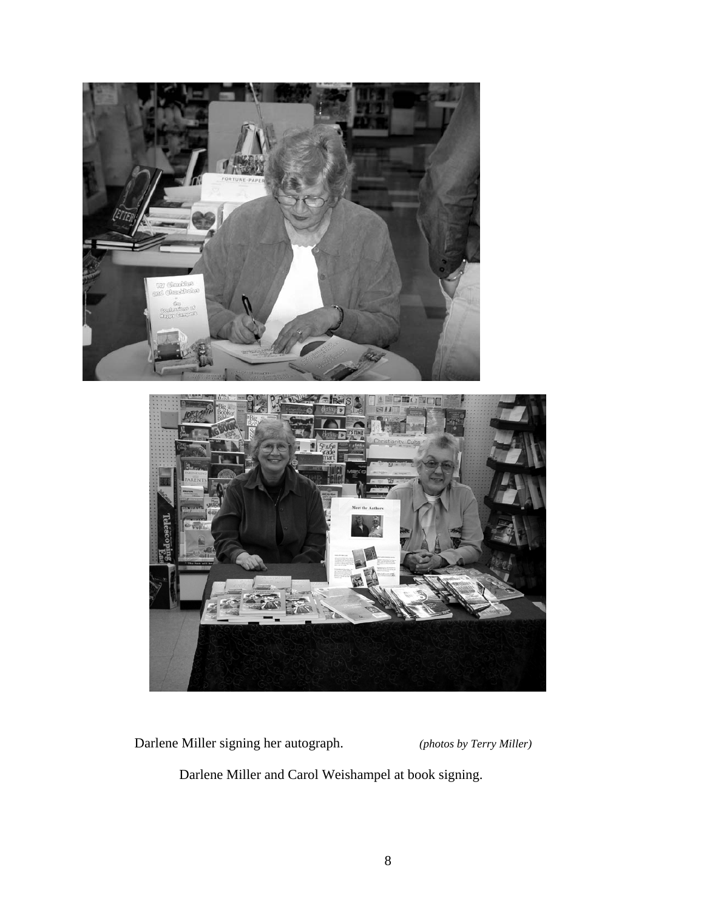



Darlene Miller signing her autograph. *(photos by Terry Miller)*

Darlene Miller and Carol Weishampel at book signing.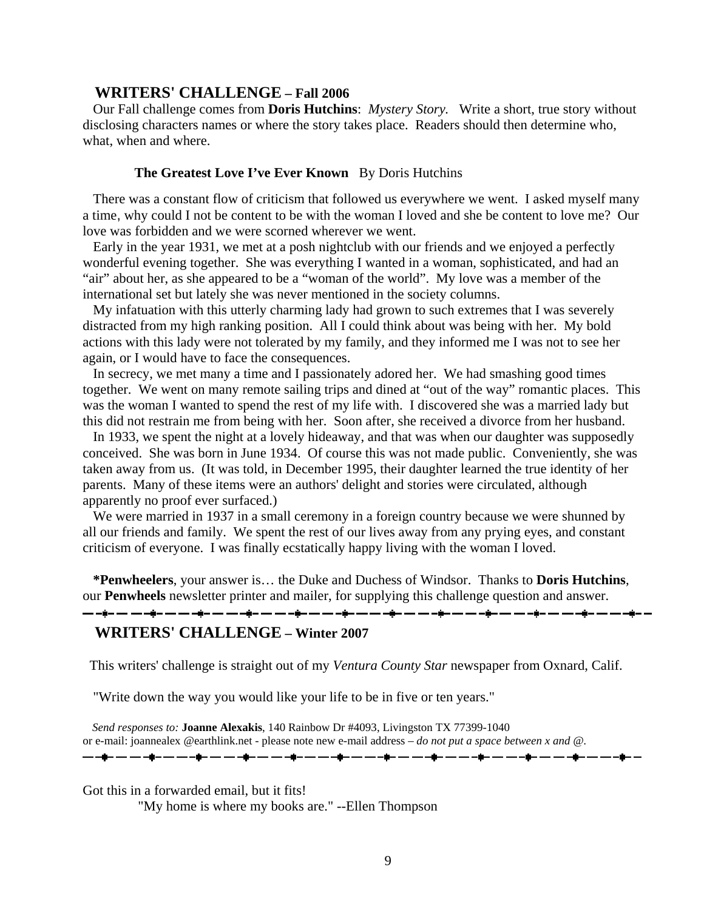# **WRITERS' CHALLENGE – Fall 2006**

 Our Fall challenge comes from **Doris Hutchins**: *Mystery Story.* Write a short, true story without disclosing characters names or where the story takes place. Readers should then determine who, what, when and where.

# **The Greatest Love I've Ever Known** By Doris Hutchins

 There was a constant flow of criticism that followed us everywhere we went. I asked myself many a time, why could I not be content to be with the woman I loved and she be content to love me? Our love was forbidden and we were scorned wherever we went.

 Early in the year 1931, we met at a posh nightclub with our friends and we enjoyed a perfectly wonderful evening together. She was everything I wanted in a woman, sophisticated, and had an "air" about her, as she appeared to be a "woman of the world". My love was a member of the international set but lately she was never mentioned in the society columns.

 My infatuation with this utterly charming lady had grown to such extremes that I was severely distracted from my high ranking position. All I could think about was being with her. My bold actions with this lady were not tolerated by my family, and they informed me I was not to see her again, or I would have to face the consequences.

 In secrecy, we met many a time and I passionately adored her. We had smashing good times together. We went on many remote sailing trips and dined at "out of the way" romantic places. This was the woman I wanted to spend the rest of my life with. I discovered she was a married lady but this did not restrain me from being with her. Soon after, she received a divorce from her husband.

 In 1933, we spent the night at a lovely hideaway, and that was when our daughter was supposedly conceived. She was born in June 1934. Of course this was not made public. Conveniently, she was taken away from us. (It was told, in December 1995, their daughter learned the true identity of her parents. Many of these items were an authors' delight and stories were circulated, although apparently no proof ever surfaced.)

 We were married in 1937 in a small ceremony in a foreign country because we were shunned by all our friends and family. We spent the rest of our lives away from any prying eyes, and constant criticism of everyone. I was finally ecstatically happy living with the woman I loved.

 **\*Penwheelers**, your answer is… the Duke and Duchess of Windsor. Thanks to **Doris Hutchins**, our **Penwheels** newsletter printer and mailer, for supplying this challenge question and answer.

# **WRITERS' CHALLENGE – Winter 2007**

This writers' challenge is straight out of my *Ventura County Star* newspaper from Oxnard, Calif.

"Write down the way you would like your life to be in five or ten years."

 *Send responses to:* **Joanne Alexakis**, 140 Rainbow Dr #4093, Livingston TX 77399-1040 or e-mail: joannealex @earthlink.net - please note new e-mail address – *do not put a space between x and @.*

Got this in a forwarded email, but it fits!

"My home is where my books are." --Ellen Thompson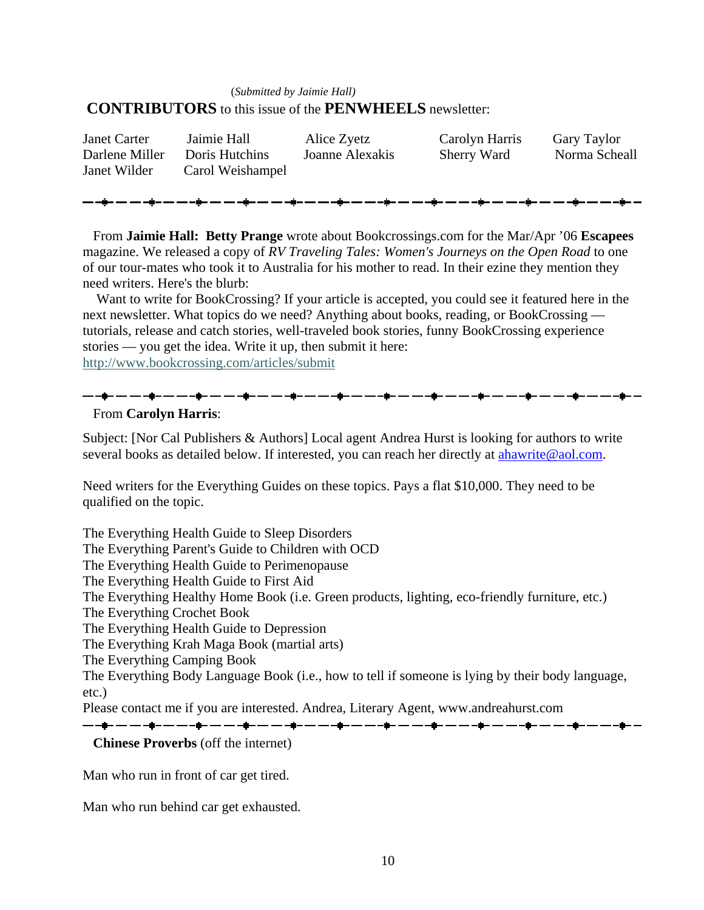# (*Submitted by Jaimie Hall)*\_\_.\_,\_.\_\_\_  **CONTRIBUTORS** to this issue of the **PENWHEELS** newsletter:

| <b>Janet Carter</b> | Jaimie Hall      | Alice Zyetz     | Carolyn Harris | <b>Gary Taylor</b> |
|---------------------|------------------|-----------------|----------------|--------------------|
| Darlene Miller      | Doris Hutchins   | Joanne Alexakis | Sherry Ward    | Norma Scheall      |
| Janet Wilder        | Carol Weishampel |                 |                |                    |
|                     |                  |                 |                |                    |

 From **Jaimie Hall: Betty Prange** wrote about Bookcrossings.com for the Mar/Apr '06 **Escapees** magazine. We released a copy of *RV Traveling Tales: Women's Journeys on the Open Road* to one of our tour-mates who took it to Australia for his mother to read. In their ezine they mention they need writers. Here's the blurb:

 Want to write for BookCrossing? If your article is accepted, you could see it featured here in the next newsletter. What topics do we need? Anything about books, reading, or BookCrossing tutorials, release and catch stories, well-traveled book stories, funny BookCrossing experience stories — you get the idea. Write it up, then submit it here: <http://www.bookcrossing.com/articles/submit>

# From **Carolyn Harris**:

Subject: [Nor Cal Publishers & Authors] Local agent Andrea Hurst is looking for authors to write several books as detailed below. If interested, you can reach her directly at ahawrite@aol.com.

Need writers for the Everything Guides on these topics. Pays a flat \$10,000. They need to be qualified on the topic.

<u>— -\$- — — -\$- — — -\$- — — -\$- — — -\$- — — -\$- — — -\$- — — -\$- — — -\$- — — -\$- — — -\$- — — -\$- -</u>

The Everything Health Guide to Sleep Disorders

The Everything Parent's Guide to Children with OCD

The Everything Health Guide to Perimenopause

The Everything Health Guide to First Aid

The Everything Healthy Home Book (i.e. Green products, lighting, eco-friendly furniture, etc.)

The Everything Crochet Book

The Everything Health Guide to Depression

The Everything Krah Maga Book (martial arts)

The Everything Camping Book

The Everything Body Language Book (i.e., how to tell if someone is lying by their body language, etc.)

Please contact me if you are interested. Andrea, Literary Agent, www.andreahurst.com

▃▖▃**▆▃▗▃▗▃▅▃▃▃▃▄▅▃▃▃▃▄▅▃▃▃▃▄**▅▃▃▃▄▅▃▄▃▄▅▃▃▄▅▃▃▃▄▅▃▃▃▄▅▃▃▃▄▅▃▃▃▄▅▃▃▃▃▄▅▃▃▃▃▄▅▃▃

# **Chinese Proverbs** (off the internet)

Man who run in front of car get tired.

Man who run behind car get exhausted.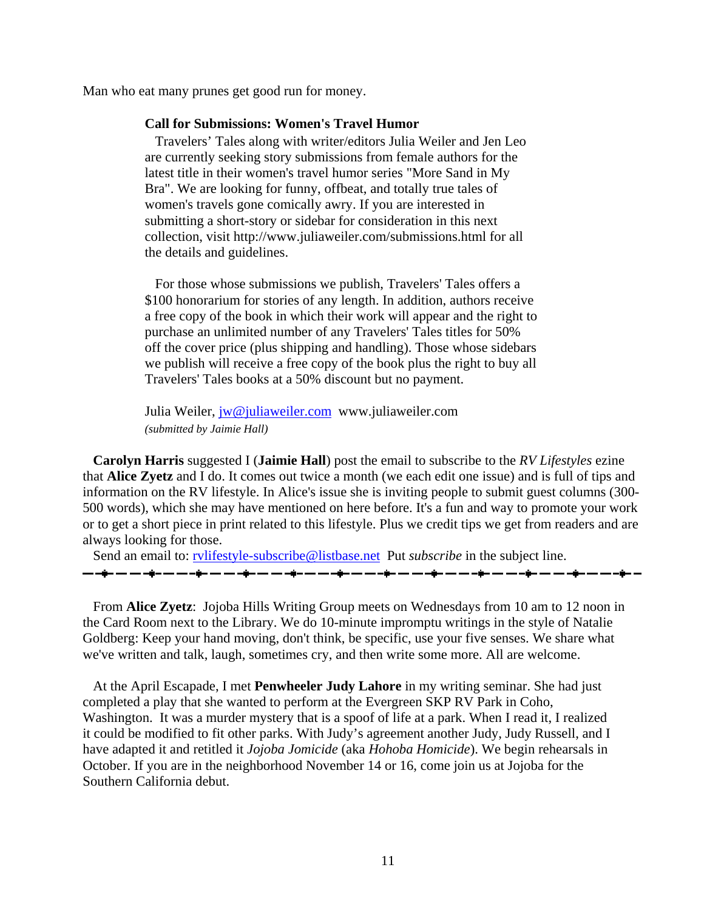Man who eat many prunes get good run for money.

#### **Call for Submissions: Women's Travel Humor**

 Travelers' Tales along with writer/editors Julia Weiler and Jen Leo are currently seeking story submissions from female authors for the latest title in their women's travel humor series "More Sand in My Bra". We are looking for funny, offbeat, and totally true tales of women's travels gone comically awry. If you are interested in submitting a short-story or sidebar for consideration in this next collection, visit http://www.juliaweiler.com/submissions.html for all the details and guidelines.

 For those whose submissions we publish, Travelers' Tales offers a \$100 honorarium for stories of any length. In addition, authors receive a free copy of the book in which their work will appear and the right to purchase an unlimited number of any Travelers' Tales titles for 50% off the cover price (plus shipping and handling). Those whose sidebars we publish will receive a free copy of the book plus the right to buy all Travelers' Tales books at a 50% discount but no payment.

Julia Weiler, [jw@juliaweiler.com](mailto:jw@juliaweiler.com) www.juliaweiler.com *(submitted by Jaimie Hall)* \_\_.\_,\_.\_\_\_

 **Carolyn Harris** suggested I (**Jaimie Hall**) post the email to subscribe to the *RV Lifestyles* ezine that **Alice Zyetz** and I do. It comes out twice a month (we each edit one issue) and is full of tips and information on the RV lifestyle. In Alice's issue she is inviting people to submit guest columns (300- 500 words), which she may have mentioned on here before. It's a fun and way to promote your work or to get a short piece in print related to this lifestyle. Plus we credit tips we get from readers and are always looking for those.

Send an email to: *rvlifestyle-subscribe@listbase.net* Put *subscribe* in the subject line. ▁<br>▃▗▊▖▃▗▖▟▖▃▗▖▗▊▖▃▗▖▟▖▃▗▖▟▖▃▗▖▟▖▃▗▖▃▋▖▃▗▖▃▐▖▃▗▖▃▐▖▃▗▖▃▐▏▖▃▗▖▃▋▖▃▗▃▐▏▖▃▗▃▊▖

 From **Alice Zyetz**: Jojoba Hills Writing Group meets on Wednesdays from 10 am to 12 noon in the Card Room next to the Library. We do 10-minute impromptu writings in the style of Natalie Goldberg: Keep your hand moving, don't think, be specific, use your five senses. We share what we've written and talk, laugh, sometimes cry, and then write some more. All are welcome.

 At the April Escapade, I met **Penwheeler Judy Lahore** in my writing seminar. She had just completed a play that she wanted to perform at the Evergreen SKP RV Park in Coho, Washington. It was a murder mystery that is a spoof of life at a park. When I read it, I realized it could be modified to fit other parks. With Judy's agreement another Judy, Judy Russell, and I have adapted it and retitled it *Jojoba Jomicide* (aka *Hohoba Homicide*). We begin rehearsals in October. If you are in the neighborhood November 14 or 16, come join us at Jojoba for the Southern California debut.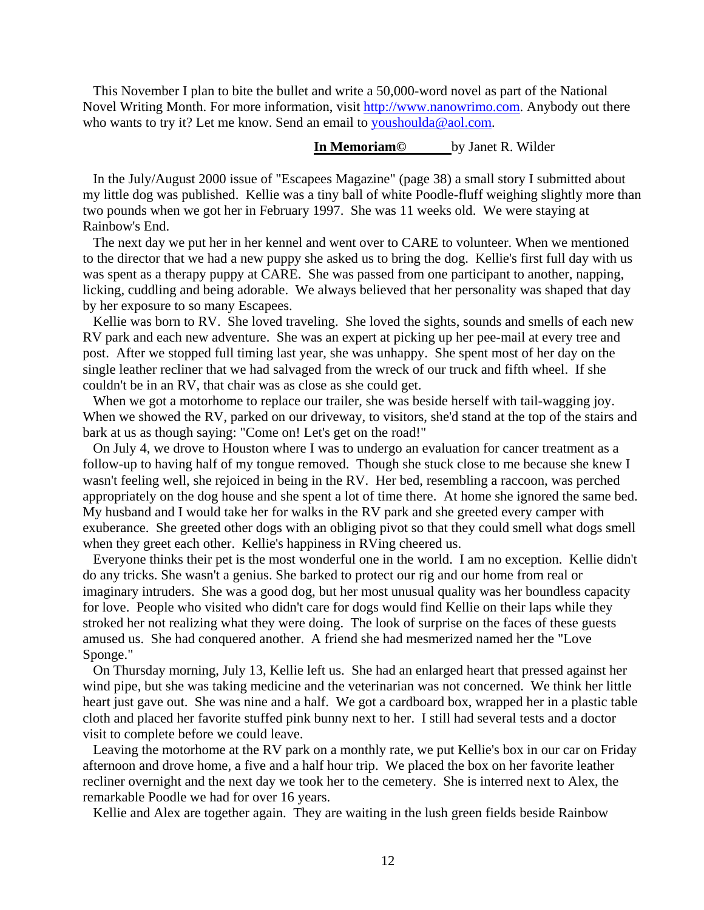This November I plan to bite the bullet and write a 50,000-word novel as part of the National Novel Writing Month. For more information, visit [http://www.nanowrimo.com](http://www.nanowrimo.com/). Anybody out there who wants to try it? Let me know. Send an email to [youshoulda@aol.com.](mailto:youshoulda@aol.com)

# **In Memoriam©** by Janet R. Wilder

 In the July/August 2000 issue of "Escapees Magazine" (page 38) a small story I submitted about my little dog was published. Kellie was a tiny ball of white Poodle-fluff weighing slightly more than two pounds when we got her in February 1997. She was 11 weeks old. We were staying at Rainbow's End.

 The next day we put her in her kennel and went over to CARE to volunteer. When we mentioned to the director that we had a new puppy she asked us to bring the dog. Kellie's first full day with us was spent as a therapy puppy at CARE. She was passed from one participant to another, napping, licking, cuddling and being adorable. We always believed that her personality was shaped that day by her exposure to so many Escapees.

Kellie was born to RV. She loved traveling. She loved the sights, sounds and smells of each new RV park and each new adventure. She was an expert at picking up her pee-mail at every tree and post. After we stopped full timing last year, she was unhappy. She spent most of her day on the single leather recliner that we had salvaged from the wreck of our truck and fifth wheel. If she couldn't be in an RV, that chair was as close as she could get.

When we got a motorhome to replace our trailer, she was beside herself with tail-wagging joy. When we showed the RV, parked on our driveway, to visitors, she'd stand at the top of the stairs and bark at us as though saying: "Come on! Let's get on the road!"

 On July 4, we drove to Houston where I was to undergo an evaluation for cancer treatment as a follow-up to having half of my tongue removed. Though she stuck close to me because she knew I wasn't feeling well, she rejoiced in being in the RV. Her bed, resembling a raccoon, was perched appropriately on the dog house and she spent a lot of time there. At home she ignored the same bed. My husband and I would take her for walks in the RV park and she greeted every camper with exuberance. She greeted other dogs with an obliging pivot so that they could smell what dogs smell when they greet each other. Kellie's happiness in RVing cheered us.

 Everyone thinks their pet is the most wonderful one in the world. I am no exception. Kellie didn't do any tricks. She wasn't a genius. She barked to protect our rig and our home from real or imaginary intruders. She was a good dog, but her most unusual quality was her boundless capacity for love. People who visited who didn't care for dogs would find Kellie on their laps while they stroked her not realizing what they were doing. The look of surprise on the faces of these guests amused us. She had conquered another. A friend she had mesmerized named her the "Love Sponge."

 On Thursday morning, July 13, Kellie left us. She had an enlarged heart that pressed against her wind pipe, but she was taking medicine and the veterinarian was not concerned. We think her little heart just gave out. She was nine and a half. We got a cardboard box, wrapped her in a plastic table cloth and placed her favorite stuffed pink bunny next to her. I still had several tests and a doctor visit to complete before we could leave.

 Leaving the motorhome at the RV park on a monthly rate, we put Kellie's box in our car on Friday afternoon and drove home, a five and a half hour trip. We placed the box on her favorite leather recliner overnight and the next day we took her to the cemetery. She is interred next to Alex, the remarkable Poodle we had for over 16 years.

Kellie and Alex are together again. They are waiting in the lush green fields beside Rainbow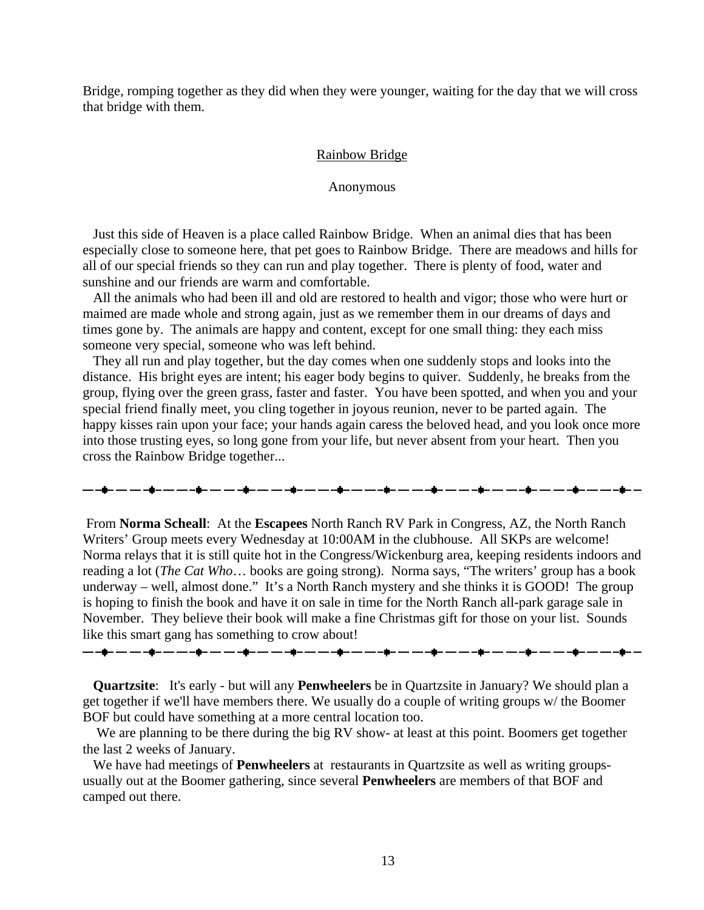Bridge, romping together as they did when they were younger, waiting for the day that we will cross that bridge with them.

#### Rainbow Bridge

Anonymous

 Just this side of Heaven is a place called Rainbow Bridge. When an animal dies that has been especially close to someone here, that pet goes to Rainbow Bridge. There are meadows and hills for all of our special friends so they can run and play together. There is plenty of food, water and sunshine and our friends are warm and comfortable.

 All the animals who had been ill and old are restored to health and vigor; those who were hurt or maimed are made whole and strong again, just as we remember them in our dreams of days and times gone by. The animals are happy and content, except for one small thing: they each miss someone very special, someone who was left behind.

 They all run and play together, but the day comes when one suddenly stops and looks into the distance. His bright eyes are intent; his eager body begins to quiver. Suddenly, he breaks from the group, flying over the green grass, faster and faster. You have been spotted, and when you and your special friend finally meet, you cling together in joyous reunion, never to be parted again. The happy kisses rain upon your face; your hands again caress the beloved head, and you look once more into those trusting eyes, so long gone from your life, but never absent from your heart. Then you cross the Rainbow Bridge together...

 From **Norma Scheall**: At the **Escapees** North Ranch RV Park in Congress, AZ, the North Ranch Writers' Group meets every Wednesday at 10:00AM in the clubhouse. All SKPs are welcome! Norma relays that it is still quite hot in the Congress/Wickenburg area, keeping residents indoors and reading a lot (*The Cat Who*… books are going strong). Norma says, "The writers' group has a book underway – well, almost done." It's a North Ranch mystery and she thinks it is GOOD! The group is hoping to finish the book and have it on sale in time for the North Ranch all-park garage sale in November. They believe their book will make a fine Christmas gift for those on your list. Sounds like this smart gang has something to crow about!

▃▖▃**▆▃▗▃▗▃▖▃▖▃▖▃▅▃▃▖▃▖▃▅▃▗▄▗▅▃▗▖▃▖▃**▅▖▃▗▅▃▗▄▃▃▅▖▃▗▄▃▃▄▅▃▃▃▄▅▃▃▃▄▅▃▃▃▃▄▅▃▃▃▃▅▅▃▃

 **Quartzsite**: It's early - but will any **Penwheelers** be in Quartzsite in January? We should plan a get together if we'll have members there. We usually do a couple of writing groups w/ the Boomer BOF but could have something at a more central location too.

We are planning to be there during the big RV show- at least at this point. Boomers get together the last 2 weeks of January.

 We have had meetings of **Penwheelers** at restaurants in Quartzsite as well as writing groupsusually out at the Boomer gathering, since several **Penwheelers** are members of that BOF and camped out there.